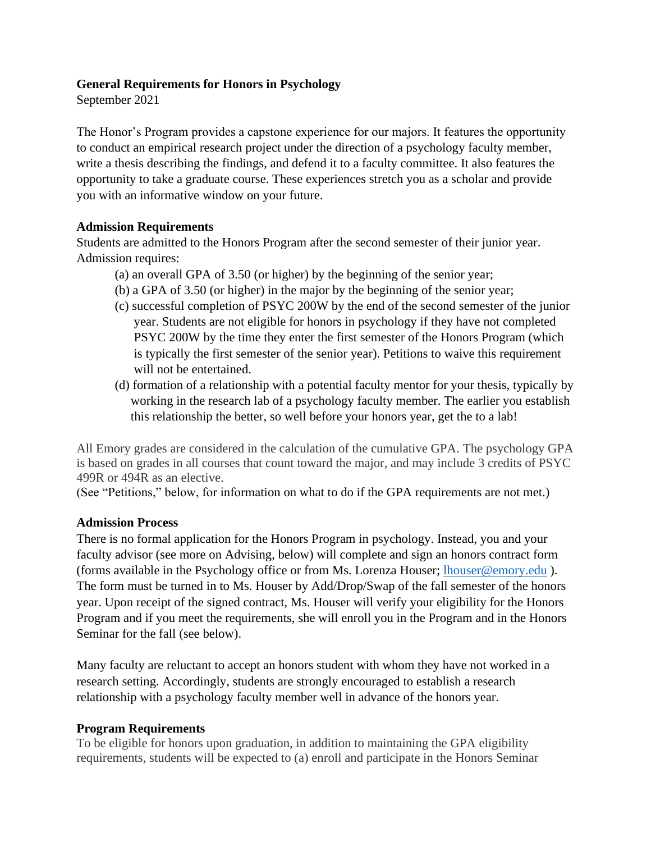## **General Requirements for Honors in Psychology**

September 2021

The Honor's Program provides a capstone experience for our majors. It features the opportunity to conduct an empirical research project under the direction of a psychology faculty member, write a thesis describing the findings, and defend it to a faculty committee. It also features the opportunity to take a graduate course. These experiences stretch you as a scholar and provide you with an informative window on your future.

### **Admission Requirements**

Students are admitted to the Honors Program after the second semester of their junior year. Admission requires:

- (a) an overall GPA of 3.50 (or higher) by the beginning of the senior year;
- (b) a GPA of 3.50 (or higher) in the major by the beginning of the senior year;
- (c) successful completion of PSYC 200W by the end of the second semester of the junior year. Students are not eligible for honors in psychology if they have not completed PSYC 200W by the time they enter the first semester of the Honors Program (which is typically the first semester of the senior year). Petitions to waive this requirement will not be entertained.
- (d) formation of a relationship with a potential faculty mentor for your thesis, typically by working in the research lab of a psychology faculty member. The earlier you establish this relationship the better, so well before your honors year, get the to a lab!

All Emory grades are considered in the calculation of the cumulative GPA. The psychology GPA is based on grades in all courses that count toward the major, and may include 3 credits of PSYC 499R or 494R as an elective.

(See "Petitions," below, for information on what to do if the GPA requirements are not met.)

#### **Admission Process**

There is no formal application for the Honors Program in psychology. Instead, you and your faculty advisor (see more on Advising, below) will complete and sign an honors contract form (forms available in the Psychology office or from Ms. Lorenza Houser; [lhouser@emory.edu](mailto:lhouser@emory.edu)). The form must be turned in to Ms. Houser by Add/Drop/Swap of the fall semester of the honors year. Upon receipt of the signed contract, Ms. Houser will verify your eligibility for the Honors Program and if you meet the requirements, she will enroll you in the Program and in the Honors Seminar for the fall (see below).

Many faculty are reluctant to accept an honors student with whom they have not worked in a research setting. Accordingly, students are strongly encouraged to establish a research relationship with a psychology faculty member well in advance of the honors year.

# **Program Requirements**

To be eligible for honors upon graduation, in addition to maintaining the GPA eligibility requirements, students will be expected to (a) enroll and participate in the Honors Seminar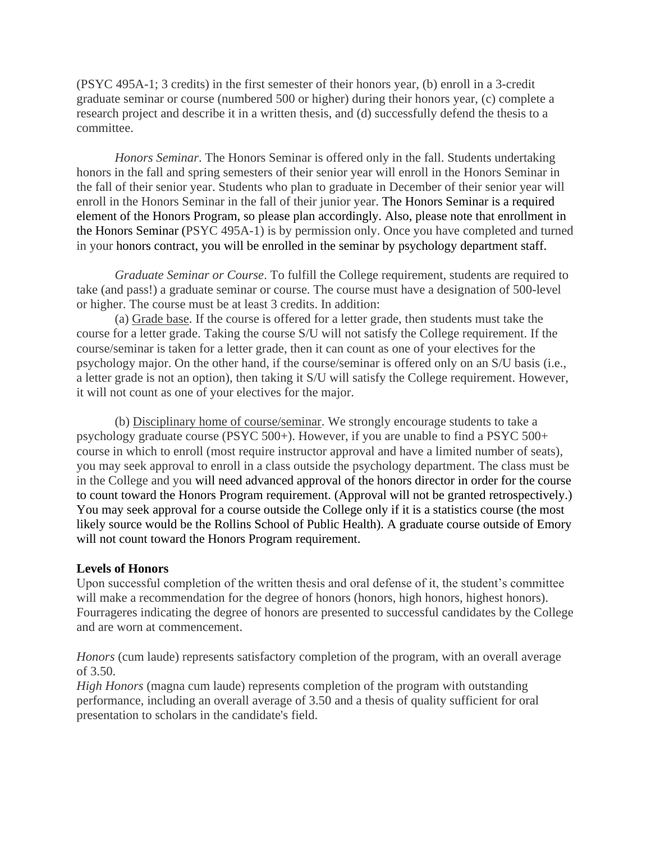(PSYC 495A-1; 3 credits) in the first semester of their honors year, (b) enroll in a 3-credit graduate seminar or course (numbered 500 or higher) during their honors year, (c) complete a research project and describe it in a written thesis, and (d) successfully defend the thesis to a committee.

*Honors Seminar*. The Honors Seminar is offered only in the fall. Students undertaking honors in the fall and spring semesters of their senior year will enroll in the Honors Seminar in the fall of their senior year. Students who plan to graduate in December of their senior year will enroll in the Honors Seminar in the fall of their junior year. The Honors Seminar is a required element of the Honors Program, so please plan accordingly. Also, please note that enrollment in the Honors Seminar (PSYC 495A-1) is by permission only. Once you have completed and turned in your honors contract, you will be enrolled in the seminar by psychology department staff.

*Graduate Seminar or Course*. To fulfill the College requirement, students are required to take (and pass!) a graduate seminar or course. The course must have a designation of 500-level or higher. The course must be at least 3 credits. In addition:

(a) Grade base. If the course is offered for a letter grade, then students must take the course for a letter grade. Taking the course S/U will not satisfy the College requirement. If the course/seminar is taken for a letter grade, then it can count as one of your electives for the psychology major. On the other hand, if the course/seminar is offered only on an S/U basis (i.e., a letter grade is not an option), then taking it S/U will satisfy the College requirement. However, it will not count as one of your electives for the major.

(b) Disciplinary home of course/seminar. We strongly encourage students to take a psychology graduate course (PSYC 500+). However, if you are unable to find a PSYC 500+ course in which to enroll (most require instructor approval and have a limited number of seats), you may seek approval to enroll in a class outside the psychology department. The class must be in the College and you will need advanced approval of the honors director in order for the course to count toward the Honors Program requirement. (Approval will not be granted retrospectively.) You may seek approval for a course outside the College only if it is a statistics course (the most likely source would be the Rollins School of Public Health). A graduate course outside of Emory will not count toward the Honors Program requirement.

#### **Levels of Honors**

Upon successful completion of the written thesis and oral defense of it, the student's committee will make a recommendation for the degree of honors (honors, high honors, highest honors). Fourrageres indicating the degree of honors are presented to successful candidates by the College and are worn at commencement.

*Honors* (cum laude) represents satisfactory completion of the program, with an overall average of 3.50.

*High Honors* (magna cum laude) represents completion of the program with outstanding performance, including an overall average of 3.50 and a thesis of quality sufficient for oral presentation to scholars in the candidate's field.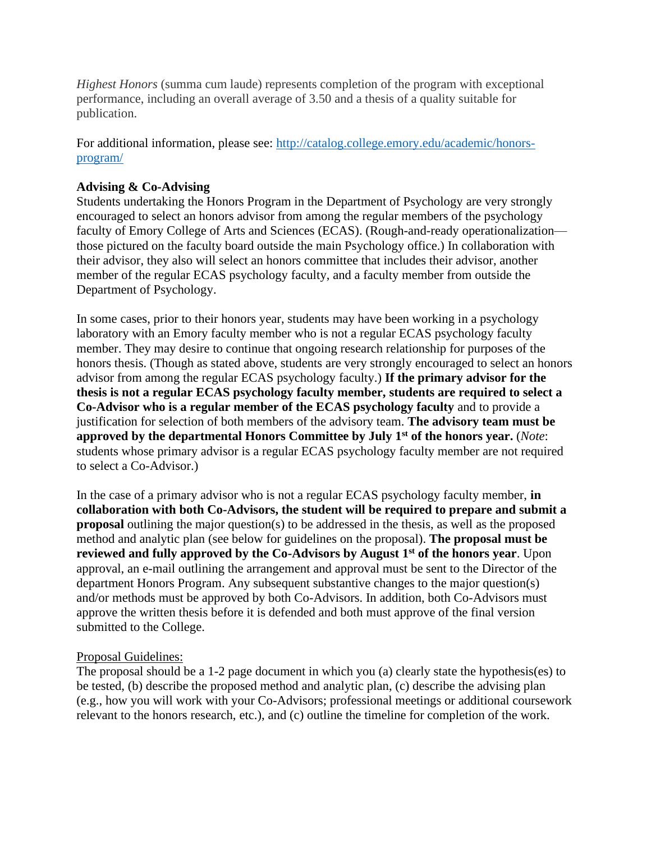*Highest Honors* (summa cum laude) represents completion of the program with exceptional performance, including an overall average of 3.50 and a thesis of a quality suitable for publication.

For additional information, please see: [http://catalog.college.emory.edu/academic/honors](http://catalog.college.emory.edu/academic/honors-program/)[program/](http://catalog.college.emory.edu/academic/honors-program/)

# **Advising & Co-Advising**

Students undertaking the Honors Program in the Department of Psychology are very strongly encouraged to select an honors advisor from among the regular members of the psychology faculty of Emory College of Arts and Sciences (ECAS). (Rough-and-ready operationalization those pictured on the faculty board outside the main Psychology office.) In collaboration with their advisor, they also will select an honors committee that includes their advisor, another member of the regular ECAS psychology faculty, and a faculty member from outside the Department of Psychology.

In some cases, prior to their honors year, students may have been working in a psychology laboratory with an Emory faculty member who is not a regular ECAS psychology faculty member. They may desire to continue that ongoing research relationship for purposes of the honors thesis. (Though as stated above, students are very strongly encouraged to select an honors advisor from among the regular ECAS psychology faculty.) **If the primary advisor for the thesis is not a regular ECAS psychology faculty member, students are required to select a Co-Advisor who is a regular member of the ECAS psychology faculty** and to provide a justification for selection of both members of the advisory team. **The advisory team must be approved by the departmental Honors Committee by July 1st of the honors year.** (*Note*: students whose primary advisor is a regular ECAS psychology faculty member are not required to select a Co-Advisor.)

In the case of a primary advisor who is not a regular ECAS psychology faculty member, **in collaboration with both Co-Advisors, the student will be required to prepare and submit a proposal** outlining the major question(s) to be addressed in the thesis, as well as the proposed method and analytic plan (see below for guidelines on the proposal). **The proposal must be reviewed and fully approved by the Co-Advisors by August 1st of the honors year**. Upon approval, an e-mail outlining the arrangement and approval must be sent to the Director of the department Honors Program. Any subsequent substantive changes to the major question(s) and/or methods must be approved by both Co-Advisors. In addition, both Co-Advisors must approve the written thesis before it is defended and both must approve of the final version submitted to the College.

# Proposal Guidelines:

The proposal should be a 1-2 page document in which you (a) clearly state the hypothesis(es) to be tested, (b) describe the proposed method and analytic plan, (c) describe the advising plan (e.g., how you will work with your Co-Advisors; professional meetings or additional coursework relevant to the honors research, etc.), and (c) outline the timeline for completion of the work.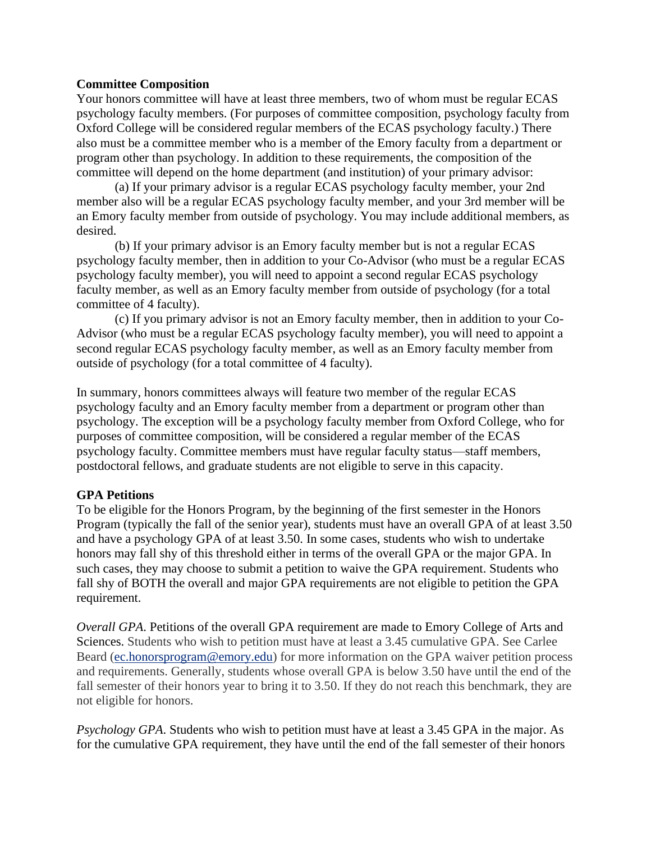#### **Committee Composition**

Your honors committee will have at least three members, two of whom must be regular ECAS psychology faculty members. (For purposes of committee composition, psychology faculty from Oxford College will be considered regular members of the ECAS psychology faculty.) There also must be a committee member who is a member of the Emory faculty from a department or program other than psychology. In addition to these requirements, the composition of the committee will depend on the home department (and institution) of your primary advisor:

(a) If your primary advisor is a regular ECAS psychology faculty member, your 2nd member also will be a regular ECAS psychology faculty member, and your 3rd member will be an Emory faculty member from outside of psychology. You may include additional members, as desired.

(b) If your primary advisor is an Emory faculty member but is not a regular ECAS psychology faculty member, then in addition to your Co-Advisor (who must be a regular ECAS psychology faculty member), you will need to appoint a second regular ECAS psychology faculty member, as well as an Emory faculty member from outside of psychology (for a total committee of 4 faculty).

(c) If you primary advisor is not an Emory faculty member, then in addition to your Co-Advisor (who must be a regular ECAS psychology faculty member), you will need to appoint a second regular ECAS psychology faculty member, as well as an Emory faculty member from outside of psychology (for a total committee of 4 faculty).

In summary, honors committees always will feature two member of the regular ECAS psychology faculty and an Emory faculty member from a department or program other than psychology. The exception will be a psychology faculty member from Oxford College, who for purposes of committee composition, will be considered a regular member of the ECAS psychology faculty. Committee members must have regular faculty status—staff members, postdoctoral fellows, and graduate students are not eligible to serve in this capacity.

#### **GPA Petitions**

To be eligible for the Honors Program, by the beginning of the first semester in the Honors Program (typically the fall of the senior year), students must have an overall GPA of at least 3.50 and have a psychology GPA of at least 3.50. In some cases, students who wish to undertake honors may fall shy of this threshold either in terms of the overall GPA or the major GPA. In such cases, they may choose to submit a petition to waive the GPA requirement. Students who fall shy of BOTH the overall and major GPA requirements are not eligible to petition the GPA requirement.

*Overall GPA*. Petitions of the overall GPA requirement are made to Emory College of Arts and Sciences. Students who wish to petition must have at least a 3.45 cumulative GPA. See Carlee Beard [\(ec.honorsprogram@emory.edu\)](mailto:ec.honorsprogram@emory.edu) for more information on the GPA waiver petition process and requirements. Generally, students whose overall GPA is below 3.50 have until the end of the fall semester of their honors year to bring it to 3.50. If they do not reach this benchmark, they are not eligible for honors.

*Psychology GPA*. Students who wish to petition must have at least a 3.45 GPA in the major. As for the cumulative GPA requirement, they have until the end of the fall semester of their honors